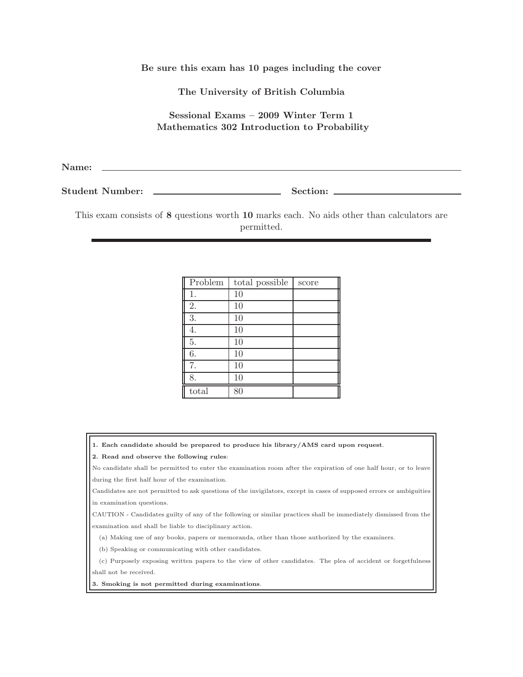Be sure this exam has 10 pages including the cover

The University of British Columbia

Sessional Exams – 2009 Winter Term 1 Mathematics 302 Introduction to Probability

Name:

Student Number: Section:

This exam consists of 8 questions worth 10 marks each. No aids other than calculators are permitted.

| Problem | total possible | score |
|---------|----------------|-------|
| 1.      | 10             |       |
| 2.      | 10             |       |
| 3.      | 10             |       |
| 4.      | 10             |       |
| 5.      | 10             |       |
| 6.      | 10             |       |
| 7.      | 10             |       |
| 8.      | 10             |       |
| total   | 8ſ             |       |

1. Each candidate should be prepared to produce his library/AMS card upon request.

## 2. Read and observe the following rules:

No candidate shall be permitted to enter the examination room after the expiration of one half hour, or to leave during the first half hour of the examination.

Candidates are not permitted to ask questions of the invigilators, except in cases of supposed errors or ambiguities in examination questions.

CAUTION - Candidates guilty of any of the following or similar practices shall be immediately dismissed from the examination and shall be liable to disciplinary action.

(a) Making use of any books, papers or memoranda, other than those authorized by the examiners.

(b) Speaking or communicating with other candidates.

(c) Purposely exposing written papers to the view of other candidates. The plea of accident or forgetfulness shall not be received.

3. Smoking is not permitted during examinations.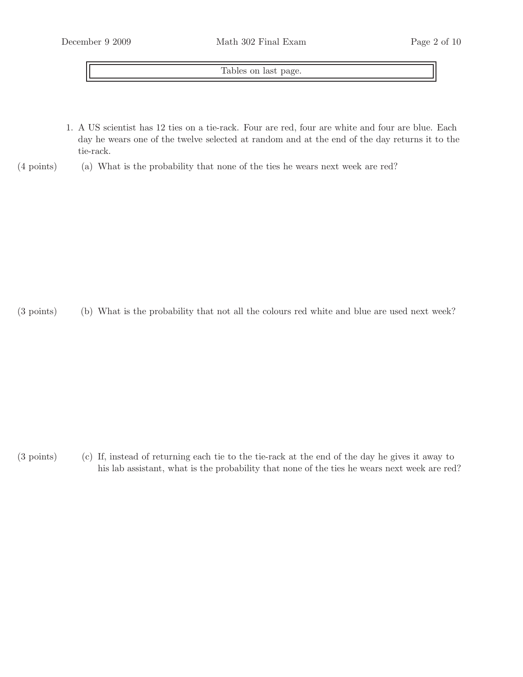Tables on last page.

1. A US scientist has 12 ties on a tie-rack. Four are red, four are white and four are blue. Each day he wears one of the twelve selected at random and at the end of the day returns it to the tie-rack.

## $(4 \text{ points})$  (a) What is the probability that none of the ties he wears next week are red?

(3 points) (b) What is the probability that not all the colours red white and blue are used next week?

 $(3 \text{ points})$  If, instead of returning each tie to the tie-rack at the end of the day he gives it away to his lab assistant, what is the probability that none of the ties he wears next week are red?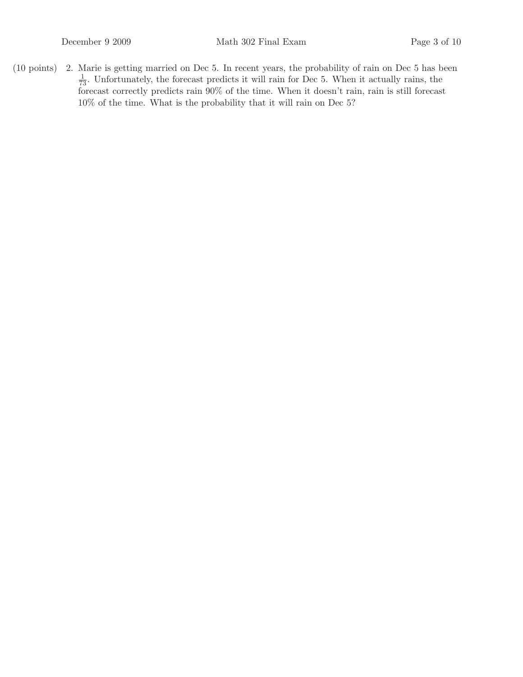$(10 \text{ points})$  2. Marie is getting married on Dec 5. In recent years, the probability of rain on Dec 5 has been  $\frac{1}{73}$ . Unfortunately, the forecast predicts it will rain for Dec 5. When it actually rains, the forecast correctly predicts rain 90% of the time. When it doesn't rain, rain is still forecast 10% of the time. What is the probability that it will rain on Dec 5?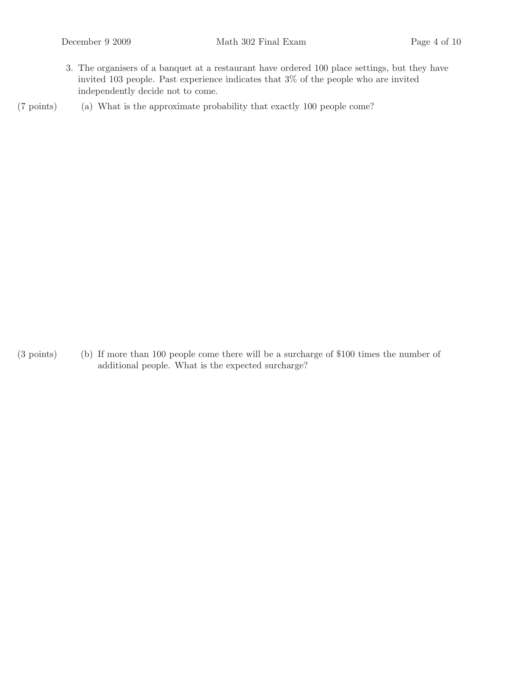3. The organisers of a banquet at a restaurant have ordered 100 place settings, but they have invited 103 people. Past experience indicates that 3% of the people who are invited independently decide not to come.

 $(7 \text{ points})$  (a) What is the approximate probability that exactly 100 people come?

 $(3 \text{ points})$  (b) If more than 100 people come there will be a surcharge of \$100 times the number of additional people. What is the expected surcharge?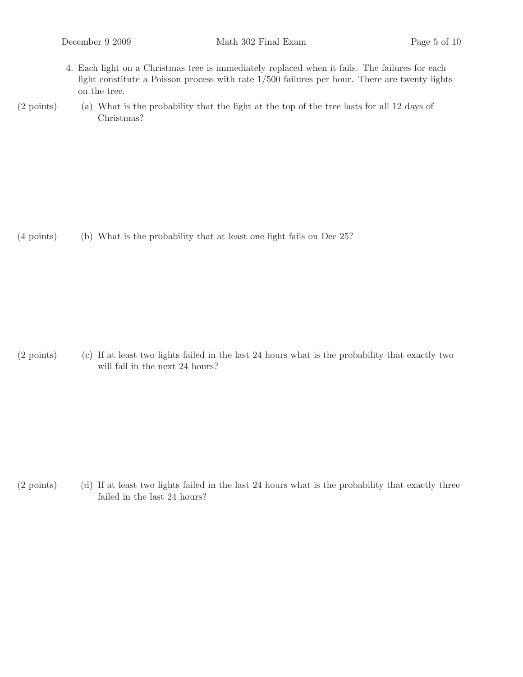- 4. Each light on a Christmas tree is immediately replaced when it fails. The failures for each light constitute a Poisson process with rate 1/500 failures per hour. There are twenty lights on the tree.
- $(2 \text{ points})$  (a) What is the probability that the light at the top of the tree lasts for all 12 days of Christmas?

 $(4 \text{ points})$  (b) What is the probability that at least one light fails on Dec 25?

 $(2 \text{ points})$  If at least two lights failed in the last 24 hours what is the probability that exactly two will fail in the next 24 hours?

 $(2 \text{ points})$  If at least two lights failed in the last 24 hours what is the probability that exactly three failed in the last 24 hours?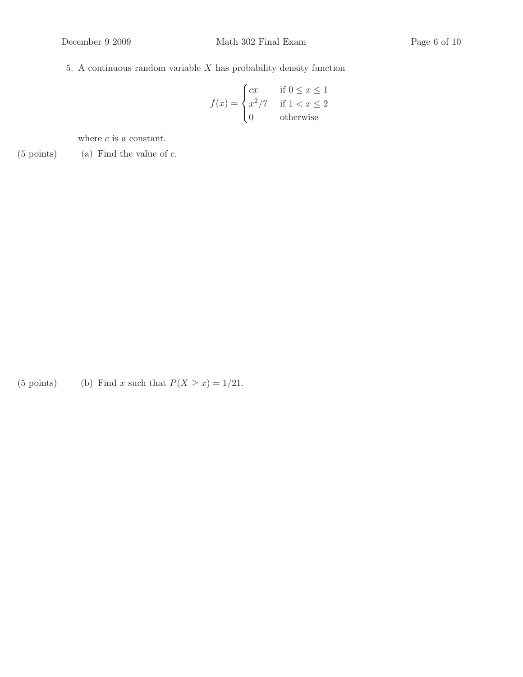## 5. A continuous random variable  $X$  has probability density function

$$
f(x) = \begin{cases} cx & \text{if } 0 \le x \le 1\\ x^2/7 & \text{if } 1 < x \le 2\\ 0 & \text{otherwise} \end{cases}
$$

where  $\boldsymbol{c}$  is a constant.

 $(5 \text{ points})$  (a) Find the value of  $c$ .

(5 points) (b) Find x such that  $P(X \ge x) = 1/21$ .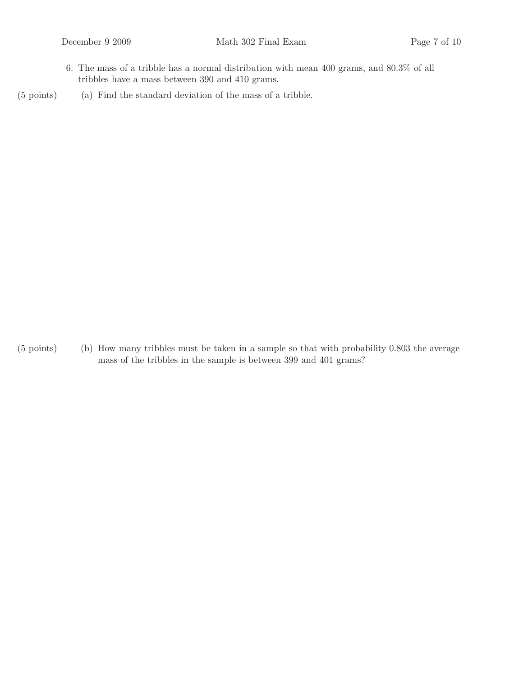- 6. The mass of a tribble has a normal distribution with mean 400 grams, and 80.3% of all tribbles have a mass between 390 and 410 grams.
- $(5 \text{ points})$  (a) Find the standard deviation of the mass of a tribble.

 $(5 \text{ points})$  (b) How many tribbles must be taken in a sample so that with probability 0.803 the average mass of the tribbles in the sample is between 399 and 401 grams?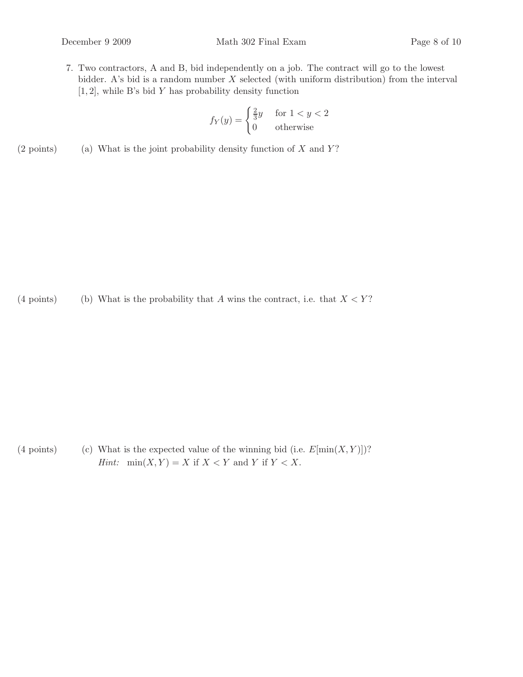- 
- 7. Two contractors, A and B, bid independently on a job. The contract will go to the lowest bidder. A's bid is a random number  $X$  selected (with uniform distribution) from the interval  $[1, 2]$ , while B's bid Y has probability density function

$$
f_Y(y) = \begin{cases} \frac{2}{3}y & \text{for } 1 < y < 2 \\ 0 & \text{otherwise} \end{cases}
$$

(2 points) (a) What is the joint probability density function of  $X$  and  $Y$ ?

(4 points) (b) What is the probability that A wins the contract, i.e. that  $X < Y$ ?

(4 points) (c) What is the expected value of the winning bid (i.e.  $E[\min(X, Y)]$ ? *Hint:*  $\min(X, Y) = X$  if  $X < Y$  and Y if  $Y < X$ .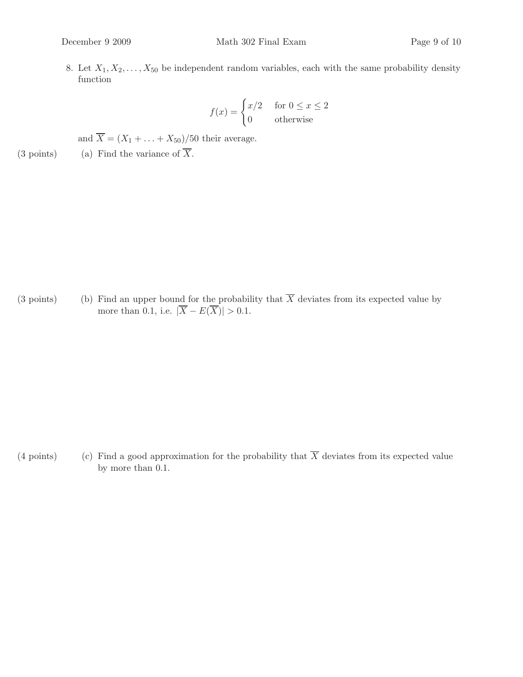8. Let  $X_1, X_2, \ldots, X_{50}$  be independent random variables, each with the same probability density function

$$
f(x) = \begin{cases} x/2 & \text{for } 0 \le x \le 2\\ 0 & \text{otherwise} \end{cases}
$$

and  $\overline{X} = (X_1 + \ldots + X_{50})/50$  their average.

(3 points) (a) Find the variance of  $\overline{X}$ .

(3 points) (b) Find an upper bound for the probability that  $\overline{X}$  deviates from its expected value by more than 0.1, i.e.  $|\overline{X} - E(\overline{X})| > 0.1$ .

(4 points) (c) Find a good approximation for the probability that  $\overline{X}$  deviates from its expected value by more than 0.1.